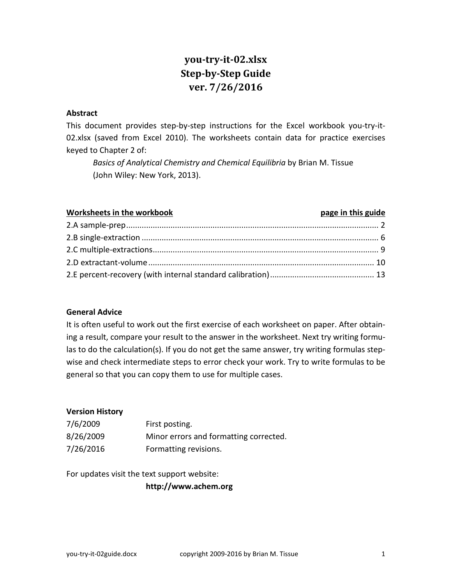# **you-try-it-02.xlsx Step-by-Step Guide ver. 7/26/2016**

#### **Abstract**

This document provides step-by-step instructions for the Excel workbook you-try-it-02.xlsx (saved from Excel 2010). The worksheets contain data for practice exercises keyed to Chapter 2 of:

*Basics of Analytical Chemistry and Chemical Equilibria* by Brian M. Tissue (John Wiley: New York, 2013).

#### **Worksheets in the workbook page in this guide**

#### **General Advice**

It is often useful to work out the first exercise of each worksheet on paper. After obtaining a result, compare your result to the answer in the worksheet. Next try writing formulas to do the calculation(s). If you do not get the same answer, try writing formulas stepwise and check intermediate steps to error check your work. Try to write formulas to be general so that you can copy them to use for multiple cases.

#### **Version History**

| 7/6/2009  | First posting.                         |
|-----------|----------------------------------------|
| 8/26/2009 | Minor errors and formatting corrected. |
| 7/26/2016 | Formatting revisions.                  |

For updates visit the text support website:

**http://www.achem.org**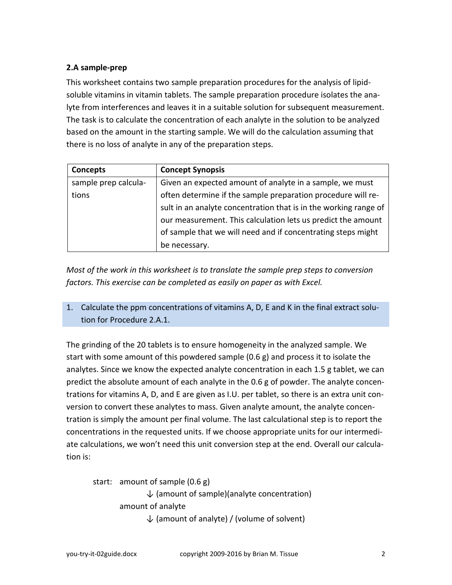# <span id="page-1-0"></span>**2.A sample-prep**

This worksheet contains two sample preparation procedures for the analysis of lipidsoluble vitamins in vitamin tablets. The sample preparation procedure isolates the analyte from interferences and leaves it in a suitable solution for subsequent measurement. The task is to calculate the concentration of each analyte in the solution to be analyzed based on the amount in the starting sample. We will do the calculation assuming that there is no loss of analyte in any of the preparation steps.

| Concepts             | <b>Concept Synopsis</b>                                          |
|----------------------|------------------------------------------------------------------|
| sample prep calcula- | Given an expected amount of analyte in a sample, we must         |
| tions                | often determine if the sample preparation procedure will re-     |
|                      | sult in an analyte concentration that is in the working range of |
|                      | our measurement. This calculation lets us predict the amount     |
|                      | of sample that we will need and if concentrating steps might     |
|                      | be necessary.                                                    |

*Most of the work in this worksheet is to translate the sample prep steps to conversion factors. This exercise can be completed as easily on paper as with Excel.*

1. Calculate the ppm concentrations of vitamins A, D, E and K in the final extract solution for Procedure 2.A.1.

The grinding of the 20 tablets is to ensure homogeneity in the analyzed sample. We start with some amount of this powdered sample (0.6 g) and process it to isolate the analytes. Since we know the expected analyte concentration in each 1.5 g tablet, we can predict the absolute amount of each analyte in the 0.6 g of powder. The analyte concentrations for vitamins A, D, and E are given as I.U. per tablet, so there is an extra unit conversion to convert these analytes to mass. Given analyte amount, the analyte concentration is simply the amount per final volume. The last calculational step is to report the concentrations in the requested units. If we choose appropriate units for our intermediate calculations, we won't need this unit conversion step at the end. Overall our calculation is:

```
start: amount of sample (0.6 g)
        \downarrow (amount of sample)(analyte concentration)
amount of analyte
        \downarrow (amount of analyte) / (volume of solvent)
```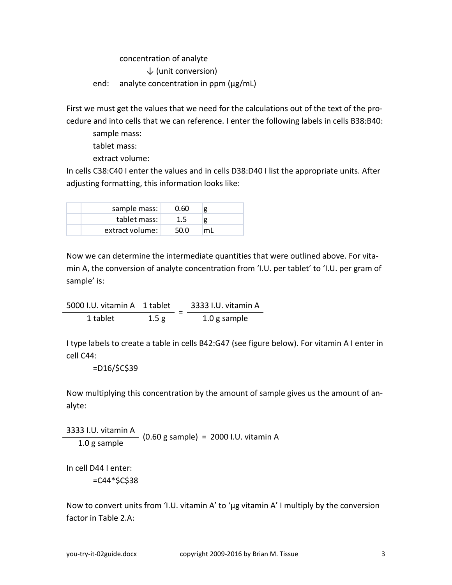#### concentration of analyte

 $\downarrow$  (unit conversion)

end: analyte concentration in ppm (μg/mL)

First we must get the values that we need for the calculations out of the text of the procedure and into cells that we can reference. I enter the following labels in cells B38:B40:

sample mass:

tablet mass:

extract volume:

In cells C38:C40 I enter the values and in cells D38:D40 I list the appropriate units. After adjusting formatting, this information looks like:

| sample mass:    | 0.60    | g  |
|-----------------|---------|----|
| tablet mass:    | $1.5\,$ | g  |
| extract volume: | 50.O    | ml |

Now we can determine the intermediate quantities that were outlined above. For vitamin A, the conversion of analyte concentration from 'I.U. per tablet' to 'I.U. per gram of sample' is:

 $\frac{5000 \text{ I.U. vitamin A} 1 \text{ tablet}}{5000 \text{ I.U. vitamin A}} = \frac{3333 \text{ I.U. vitamin A}}{5000 \text{ I.U. in.}}$ 1 tablet 1.5 g 1.0 g sample

I type labels to create a table in cells B42:G47 (see figure below). For vitamin A I enter in cell C44:

=D16/\$C\$39

Now multiplying this concentration by the amount of sample gives us the amount of analyte:

3333 I.U. vitamin A  $\frac{10^{10} \text{N}}{1.0 \text{ g sample}}$  (0.60 g sample) = 2000 I.U. vitamin A

In cell D44 I enter:

 $=$ C44 $*$ \$C\$38

Now to convert units from 'I.U. vitamin A' to 'μg vitamin A' I multiply by the conversion factor in Table 2.A: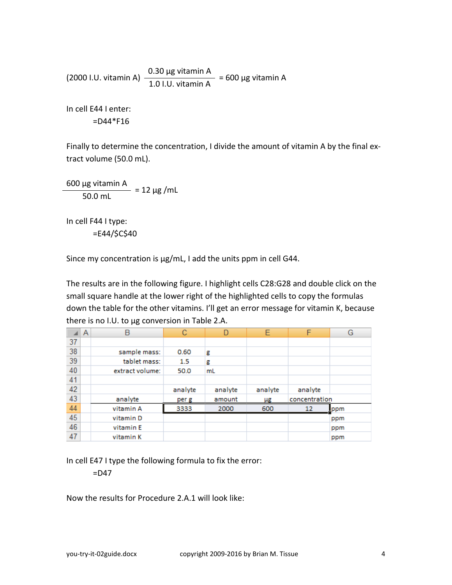(2000 I.U. vitamin A)  $\frac{0.30 \text{ µg vitamin A}}{1.0 \text{ LU. vitamin A}}$  = 600 µg vitamin A

In cell E44 I enter:  $=$ D44 $*$ F16

Finally to determine the concentration, I divide the amount of vitamin A by the final extract volume (50.0 mL).

 $\frac{600 \text{ µg vitamin A}}{50.0 \text{ mL}} = 12 \text{ µg/mL}$ 

In cell F44 I type: =E44/\$C\$40

Since my concentration is μg/mL, I add the units ppm in cell G44.

The results are in the following figure. I highlight cells C28:G28 and double click on the small square handle at the lower right of the highlighted cells to copy the formulas down the table for the other vitamins. I'll get an error message for vitamin K, because there is no I.U. to μg conversion in Table 2.A.

|    | A | B               | C       | n       | E       | F             | G    |
|----|---|-----------------|---------|---------|---------|---------------|------|
| 37 |   |                 |         |         |         |               |      |
| 38 |   | sample mass:    | 0.60    | g       |         |               |      |
| 39 |   | tablet mass:    | 1.5     | g       |         |               |      |
| 40 |   | extract volume: | 50.0    | mL      |         |               |      |
| 41 |   |                 |         |         |         |               |      |
| 42 |   |                 | analyte | analyte | analyte | analyte       |      |
| 43 |   | analyte         | per g   | amount  | μg      | concentration |      |
| 44 |   | vitamin A       | 3333    | 2000    | 600     | 12            | Ippm |
| 45 |   | vitamin D       |         |         |         |               | ppm  |
| 46 |   | vitamin E       |         |         |         |               | ppm  |
| 47 |   | vitamin K       |         |         |         |               | ppm  |

In cell E47 I type the following formula to fix the error:

 $=$ D47

Now the results for Procedure 2.A.1 will look like: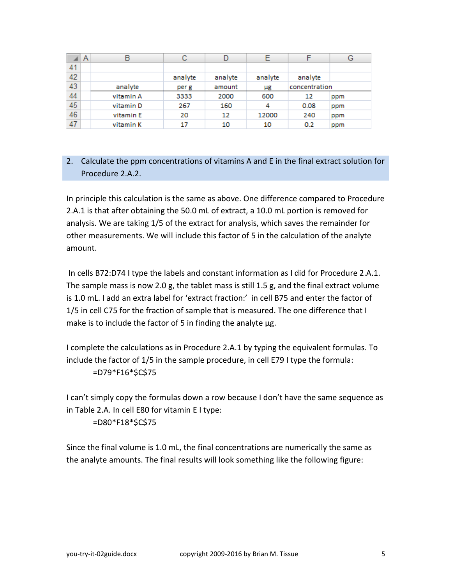|    | A | В         | С       |         |         |               | G   |
|----|---|-----------|---------|---------|---------|---------------|-----|
| 41 |   |           |         |         |         |               |     |
| 42 |   |           | analyte | analyte | analyte | analyte       |     |
| 43 |   | analyte   | per g   | amount  | μg      | concentration |     |
| 44 |   | vitamin A | 3333    | 2000    | 600     | 12            | ppm |
| 45 |   | vitamin D | 267     | 160     | 4       | 0.08          | ppm |
| 46 |   | vitamin E | 20      | 12      | 12000   | 240           | ppm |
| 47 |   | vitamin K | 17      | 10      | 10      | 0.2           | ppm |

# 2. Calculate the ppm concentrations of vitamins A and E in the final extract solution for Procedure 2.A.2.

In principle this calculation is the same as above. One difference compared to Procedure 2.A.1 is that after obtaining the 50.0 mL of extract, a 10.0 mL portion is removed for analysis. We are taking 1/5 of the extract for analysis, which saves the remainder for other measurements. We will include this factor of 5 in the calculation of the analyte amount.

In cells B72:D74 I type the labels and constant information as I did for Procedure 2.A.1. The sample mass is now 2.0 g, the tablet mass is still 1.5 g, and the final extract volume is 1.0 mL. I add an extra label for 'extract fraction:' in cell B75 and enter the factor of 1/5 in cell C75 for the fraction of sample that is measured. The one difference that I make is to include the factor of 5 in finding the analyte μg.

I complete the calculations as in Procedure 2.A.1 by typing the equivalent formulas. To include the factor of 1/5 in the sample procedure, in cell E79 I type the formula: =D79\*F16\*\$C\$75

I can't simply copy the formulas down a row because I don't have the same sequence as in Table 2.A. In cell E80 for vitamin E I type:

=D80\*F18\*\$C\$75

Since the final volume is 1.0 mL, the final concentrations are numerically the same as the analyte amounts. The final results will look something like the following figure: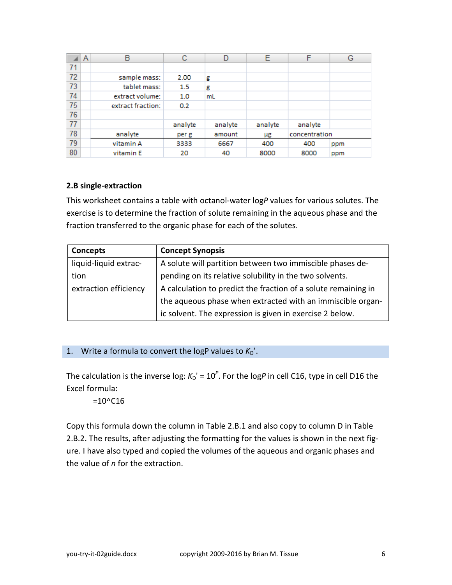|    | A | B                 | с       |         | Е       | F             | G   |
|----|---|-------------------|---------|---------|---------|---------------|-----|
| 71 |   |                   |         |         |         |               |     |
| 72 |   | sample mass:      | 2.00    | g       |         |               |     |
| 73 |   | tablet mass:      | 1.5     | g       |         |               |     |
| 74 |   | extract volume:   | 1.0     | mL      |         |               |     |
| 75 |   | extract fraction: | 0.2     |         |         |               |     |
| 76 |   |                   |         |         |         |               |     |
| 77 |   |                   | analyte | analyte | analyte | analyte       |     |
| 78 |   | analyte           | per g   | amount  | μg      | concentration |     |
| 79 |   | vitamin A         | 3333    | 6667    | 400     | 400           | ppm |
| 80 |   | vitamin E         | 20      | 40      | 8000    | 8000          | ppm |

#### <span id="page-5-0"></span>**2.B single-extraction**

This worksheet contains a table with octanol-water log*P* values for various solutes. The exercise is to determine the fraction of solute remaining in the aqueous phase and the fraction transferred to the organic phase for each of the solutes.

| <b>Concepts</b>       | <b>Concept Synopsis</b>                                        |
|-----------------------|----------------------------------------------------------------|
| liquid-liquid extrac- | A solute will partition between two immiscible phases de-      |
| tion                  | pending on its relative solubility in the two solvents.        |
| extraction efficiency | A calculation to predict the fraction of a solute remaining in |
|                       | the aqueous phase when extracted with an immiscible organ-     |
|                       | ic solvent. The expression is given in exercise 2 below.       |

## 1. Write a formula to convert the logP values to  $K_D'$ .

The calculation is the inverse log:  $K_D' = 10^P$ . For the logP in cell C16, type in cell D16 the Excel formula:

#### $=10^{\circ}$ C16

Copy this formula down the column in Table 2.B.1 and also copy to column D in Table 2.B.2. The results, after adjusting the formatting for the values is shown in the next figure. I have also typed and copied the volumes of the aqueous and organic phases and the value of *n* for the extraction.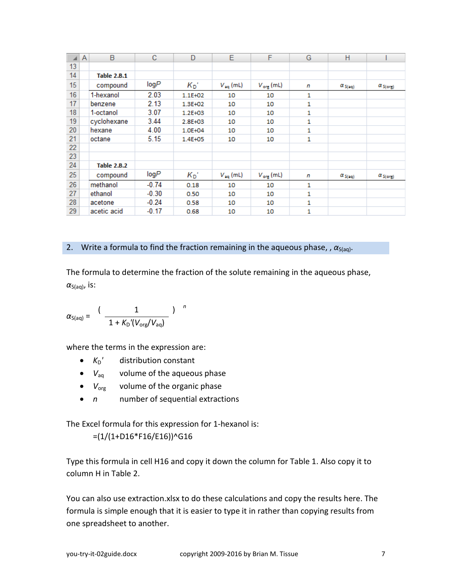|    | A | В                  | с       | D           | Е                    | F                      | G | н                        |                   |
|----|---|--------------------|---------|-------------|----------------------|------------------------|---|--------------------------|-------------------|
| 13 |   |                    |         |             |                      |                        |   |                          |                   |
| 14 |   | <b>Table 2.B.1</b> |         |             |                      |                        |   |                          |                   |
| 15 |   | compound           | logP    | $K_{D}$     | $V_{\text{aq}}$ (mL) | $V_{\text{orig}}$ (mL) | n | $\alpha_{S(nq)}$         | $\alpha_{S(org)}$ |
| 16 |   | 1-hexanol          | 2.03    | $1.1E + 02$ | 10                   | 10                     | 1 |                          |                   |
| 17 |   | benzene            | 2.13    | 1.3E+02     | 10                   | 10                     | 1 |                          |                   |
| 18 |   | 1-octanol          | 3.07    | 1.2E+03     | 10                   | 10                     | 1 |                          |                   |
| 19 |   | cyclohexane        | 3.44    | 2.8E+03     | 10                   | 10                     | 1 |                          |                   |
| 20 |   | hexane             | 4.00    | 1.0E+04     | 10                   | 10                     | 1 |                          |                   |
| 21 |   | octane             | 5.15    | 1.4E+05     | 10                   | 10                     | 1 |                          |                   |
| 22 |   |                    |         |             |                      |                        |   |                          |                   |
| 23 |   |                    |         |             |                      |                        |   |                          |                   |
| 24 |   | <b>Table 2.B.2</b> |         |             |                      |                        |   |                          |                   |
| 25 |   | compound           | logP    | $K_{D}$     | $V_{\text{eq}}$ (mL) | $V_{\text{org}}$ (mL)  | n | $\alpha_{S(\text{rel})}$ | $\alpha_{S(org)}$ |
| 26 |   | methanol           | $-0.74$ | 0.18        | 10                   | 10                     | 1 |                          |                   |
| 27 |   | ethanol            | $-0.30$ | 0.50        | 10                   | 10                     | 1 |                          |                   |
| 28 |   | acetone            | $-0.24$ | 0.58        | 10                   | 10                     | 1 |                          |                   |
| 29 |   | acetic acid        | $-0.17$ | 0.68        | 10                   | 10                     | 1 |                          |                   |

#### 2. Write a formula to find the fraction remaining in the aqueous phase, ,  $\alpha_{\text{S(aq)}}$ .

The formula to determine the fraction of the solute remaining in the aqueous phase,  $\alpha_{S(aq)}$ , is:

$$
\alpha_{S(aq)} = \frac{(1 - 1)}{1 + K_{D}^{''}(V_{org}/V_{aq})}
$$

where the terms in the expression are:

- $K_D'$  distribution constant
- $V_{aq}$  volume of the aqueous phase
- *V*<sub>org</sub> volume of the organic phase
- *n* number of sequential extractions

The Excel formula for this expression for 1-hexanol is:

# $=(1/(1+D16*F16/E16))^{\wedge}G16$

Type this formula in cell H16 and copy it down the column for Table 1. Also copy it to column H in Table 2.

You can also use extraction.xlsx to do these calculations and copy the results here. The formula is simple enough that it is easier to type it in rather than copying results from one spreadsheet to another.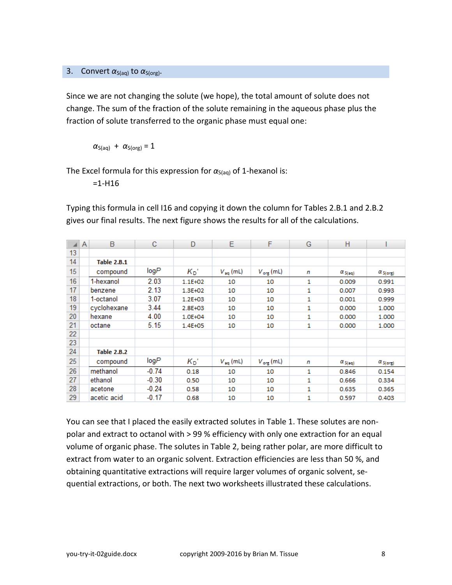### 3. Convert  $\alpha_{S(aq)}$  to  $\alpha_{S(org)}$ .

Since we are not changing the solute (we hope), the total amount of solute does not change. The sum of the fraction of the solute remaining in the aqueous phase plus the fraction of solute transferred to the organic phase must equal one:

 $\alpha_{S(aq)} + \alpha_{S(org)} = 1$ 

The Excel formula for this expression for  $\alpha_{S(aq)}$  of 1-hexanol is:

 $=1 - H16$ 

Typing this formula in cell I16 and copying it down the column for Tables 2.B.1 and 2.B.2 gives our final results. The next figure shows the results for all of the calculations.

|    | Α | В                  | с       | D       | Е                    | F                     | G | н                       |                   |
|----|---|--------------------|---------|---------|----------------------|-----------------------|---|-------------------------|-------------------|
| 13 |   |                    |         |         |                      |                       |   |                         |                   |
| 14 |   | <b>Table 2.B.1</b> |         |         |                      |                       |   |                         |                   |
| 15 |   | compound           | logP    | $K_{D}$ | $V_{\text{eq}}$ (mL) | $V_{\text{org}}$ (mL) | n | $\alpha_{S(\text{aq})}$ | $\alpha_{S(org)}$ |
| 16 |   | 1-hexanol          | 2.03    | 1.1E+02 | 10                   | 10                    | 1 | 0.009                   | 0.991             |
| 17 |   | benzene            | 2.13    | 1.3E+02 | 10                   | 10                    | 1 | 0.007                   | 0.993             |
| 18 |   | 1-octanol          | 3.07    | 1.2E+03 | 10                   | 10                    | 1 | 0.001                   | 0.999             |
| 19 |   | cyclohexane        | 3.44    | 2.8E+03 | 10                   | 10                    | 1 | 0.000                   | 1.000             |
| 20 |   | hexane             | 4.00    | 1.0E+04 | 10                   | 10                    | 1 | 0.000                   | 1.000             |
| 21 |   | octane             | 5.15    | 1.4E+05 | 10                   | 10                    | 1 | 0.000                   | 1.000             |
| 22 |   |                    |         |         |                      |                       |   |                         |                   |
| 23 |   |                    |         |         |                      |                       |   |                         |                   |
| 24 |   | <b>Table 2.B.2</b> |         |         |                      |                       |   |                         |                   |
| 25 |   | compound           | logP    | $K_{D}$ | $V_{\text{eq}}$ (mL) | $V_{\text{org}}$ (mL) | n | $\alpha_{S(\text{ad})}$ | $\alpha_{S(org)}$ |
| 26 |   | methanol           | $-0.74$ | 0.18    | 10                   | 10                    | 1 | 0.846                   | 0.154             |
| 27 |   | ethanol            | $-0.30$ | 0.50    | 10                   | 10                    | 1 | 0.666                   | 0.334             |
| 28 |   | acetone            | $-0.24$ | 0.58    | 10                   | 10                    | 1 | 0.635                   | 0.365             |
| 29 |   | acetic acid        | $-0.17$ | 0.68    | 10                   | 10                    | 1 | 0.597                   | 0.403             |

You can see that I placed the easily extracted solutes in Table 1. These solutes are nonpolar and extract to octanol with > 99 % efficiency with only one extraction for an equal volume of organic phase. The solutes in Table 2, being rather polar, are more difficult to extract from water to an organic solvent. Extraction efficiencies are less than 50 %, and obtaining quantitative extractions will require larger volumes of organic solvent, sequential extractions, or both. The next two worksheets illustrated these calculations.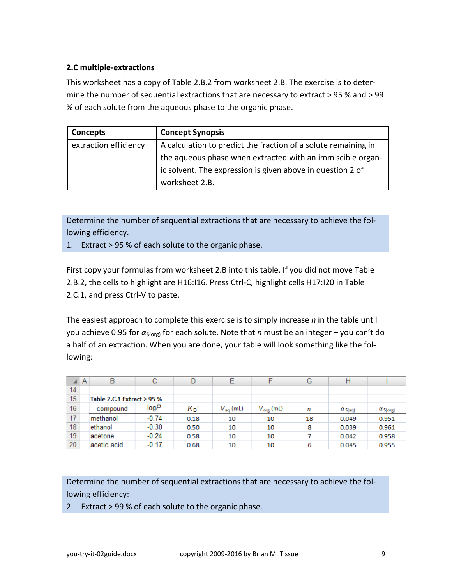# <span id="page-8-0"></span>**2.C multiple-extractions**

This worksheet has a copy of Table 2.B.2 from worksheet 2.B. The exercise is to determine the number of sequential extractions that are necessary to extract > 95 % and > 99 % of each solute from the aqueous phase to the organic phase.

| Concepts              | <b>Concept Synopsis</b>                                        |
|-----------------------|----------------------------------------------------------------|
| extraction efficiency | A calculation to predict the fraction of a solute remaining in |
|                       | the aqueous phase when extracted with an immiscible organ-     |
|                       | ic solvent. The expression is given above in question 2 of     |
|                       | worksheet 2.B.                                                 |

Determine the number of sequential extractions that are necessary to achieve the following efficiency.

1. Extract > 95 % of each solute to the organic phase.

First copy your formulas from worksheet 2.B into this table. If you did not move Table 2.B.2, the cells to highlight are H16:I16. Press Ctrl-C, highlight cells H17:I20 in Table 2.C.1, and press Ctrl-V to paste.

The easiest approach to complete this exercise is to simply increase *n* in the table until you achieve 0.95 for *α*S(org) for each solute. Note that *n* must be an integer – you can't do a half of an extraction. When you are done, your table will look something like the following:

|    | A | в                          | С       | D       | Е                    |                       | G  | Н                       |                   |
|----|---|----------------------------|---------|---------|----------------------|-----------------------|----|-------------------------|-------------------|
| 14 |   |                            |         |         |                      |                       |    |                         |                   |
| 15 |   | Table 2.C.1 Extract > 95 % |         |         |                      |                       |    |                         |                   |
| 16 |   | compound                   | logP    | $K_{D}$ | $V_{\text{no}}$ (mL) | $V_{\text{org}}$ (mL) | n  | $\alpha_{S(\text{eq})}$ | $\alpha_{S(org)}$ |
| 17 |   | methanol                   | $-0.74$ | 0.18    | 10                   | 10                    | 18 | 0.049                   | 0.951             |
| 18 |   | ethanol                    | $-0.30$ | 0.50    | 10                   | 10                    | 8  | 0.039                   | 0.961             |
| 19 |   | acetone                    | $-0.24$ | 0.58    | 10                   | 10                    |    | 0.042                   | 0.958             |
| 20 |   | acetic acid                | $-0.17$ | 0.68    | 10                   | 10                    | 6  | 0.045                   | 0.955             |

Determine the number of sequential extractions that are necessary to achieve the following efficiency:

2. Extract > 99 % of each solute to the organic phase.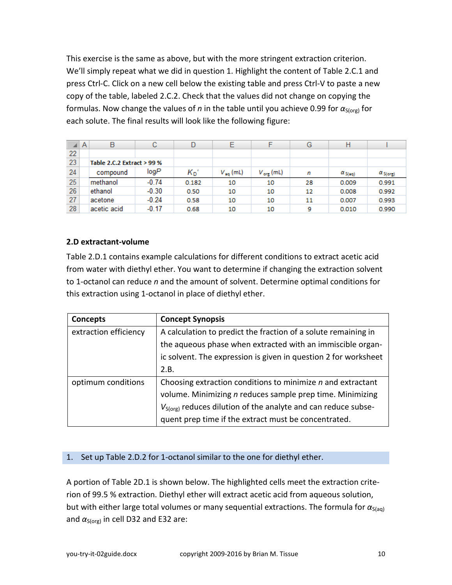This exercise is the same as above, but with the more stringent extraction criterion. We'll simply repeat what we did in question 1. Highlight the content of Table 2.C.1 and press Ctrl-C. Click on a new cell below the existing table and press Ctrl-V to paste a new copy of the table, labeled 2.C.2. Check that the values did not change on copying the formulas. Now change the values of *n* in the table until you achieve 0.99 for  $\alpha_{S(org)}$  for each solute. The final results will look like the following figure:

|    | A                          | в           | С       |         |                      |                       | G  | Н               |                   |
|----|----------------------------|-------------|---------|---------|----------------------|-----------------------|----|-----------------|-------------------|
| 22 |                            |             |         |         |                      |                       |    |                 |                   |
| 23 | Table 2.C.2 Extract > 99 % |             |         |         |                      |                       |    |                 |                   |
| 24 |                            | compound    | logP    | $K_{D}$ | $V_{\text{aq}}$ (mL) | $V_{\text{org}}$ (mL) | n  | $\alpha_{S(m)}$ | $\alpha_{S(org)}$ |
| 25 |                            | methanol    | $-0.74$ | 0.182   | 10                   | 10                    | 28 | 0.009           | 0.991             |
| 26 |                            | ethanol     | $-0.30$ | 0.50    | 10                   | 10                    | 12 | 0.008           | 0.992             |
| 27 |                            | acetone     | $-0.24$ | 0.58    | 10                   | 10                    | 11 | 0.007           | 0.993             |
| 28 |                            | acetic acid | $-0.17$ | 0.68    | 10                   | 10                    | 9  | 0.010           | 0.990             |

### <span id="page-9-0"></span>**2.D extractant-volume**

Table 2.D.1 contains example calculations for different conditions to extract acetic acid from water with diethyl ether. You want to determine if changing the extraction solvent to 1-octanol can reduce *n* and the amount of solvent. Determine optimal conditions for this extraction using 1-octanol in place of diethyl ether.

| <b>Concepts</b>       | <b>Concept Synopsis</b>                                                   |  |
|-----------------------|---------------------------------------------------------------------------|--|
| extraction efficiency | A calculation to predict the fraction of a solute remaining in            |  |
|                       | the aqueous phase when extracted with an immiscible organ-                |  |
|                       | ic solvent. The expression is given in question 2 for worksheet           |  |
|                       | 2.B.                                                                      |  |
| optimum conditions    | Choosing extraction conditions to minimize $n$ and extractant             |  |
|                       | volume. Minimizing n reduces sample prep time. Minimizing                 |  |
|                       | V <sub>S(org)</sub> reduces dilution of the analyte and can reduce subse- |  |
|                       | quent prep time if the extract must be concentrated.                      |  |

#### 1. Set up Table 2.D.2 for 1-octanol similar to the one for diethyl ether.

A portion of Table 2D.1 is shown below. The highlighted cells meet the extraction criterion of 99.5 % extraction. Diethyl ether will extract acetic acid from aqueous solution, but with either large total volumes or many sequential extractions. The formula for α<sub>S(aq)</sub> and  $\alpha_{S(org)}$  in cell D32 and E32 are: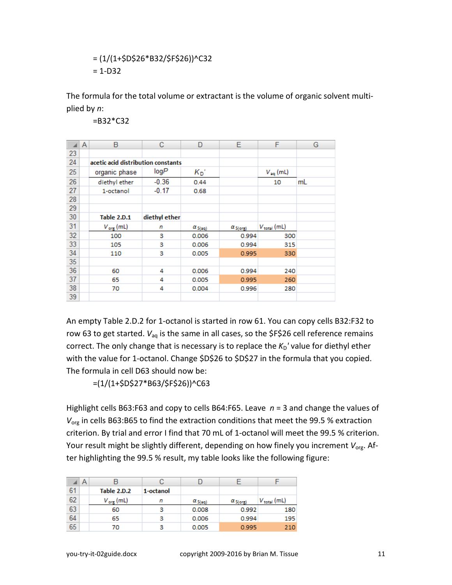$$
= (1/(1+$D$26*B32/$F$26))^{\wedge}C32
$$
  
= 1-D32

The formula for the total volume or extractant is the volume of organic solvent multiplied by *n*:

=B32\*C32

|    | A | B                                  | с             | D                | Е                 | F                    | G  |
|----|---|------------------------------------|---------------|------------------|-------------------|----------------------|----|
| 23 |   |                                    |               |                  |                   |                      |    |
| 24 |   | acetic acid distribution constants |               |                  |                   |                      |    |
| 25 |   | organic phase                      | logP          | $K_{D}$          |                   | $V_{\text{eq}}$ (mL) |    |
| 26 |   | diethyl ether                      | $-0.36$       | 0.44             |                   | 10                   | mL |
| 27 |   | 1-octanol                          | $-0.17$       | 0.68             |                   |                      |    |
| 28 |   |                                    |               |                  |                   |                      |    |
| 29 |   |                                    |               |                  |                   |                      |    |
| 30 |   | <b>Table 2.D.1</b>                 | diethyl ether |                  |                   |                      |    |
| 31 |   | $V_{\text{org}}$ (mL)              | n             | $\alpha_{S(nq)}$ | $\alpha_{S(org)}$ | $V_{\rm total}$ (mL) |    |
| 32 |   | 100                                | 3             | 0.006            | 0.994             | 300                  |    |
| 33 |   | 105                                | з             | 0.006            | 0.994             | 315                  |    |
| 34 |   | 110                                | 3             | 0.005            | 0.995             | 330                  |    |
| 35 |   |                                    |               |                  |                   |                      |    |
| 36 |   | 60                                 | 4             | 0.006            | 0.994             | 240                  |    |
| 37 |   | 65                                 | 4             | 0.005            | 0.995             | 260                  |    |
| 38 |   | 70                                 | 4             | 0.004            | 0.996             | 280                  |    |
| 39 |   |                                    |               |                  |                   |                      |    |

An empty Table 2.D.2 for 1-octanol is started in row 61. You can copy cells B32:F32 to row 63 to get started.  $V_{aq}$  is the same in all cases, so the \$F\$26 cell reference remains correct. The only change that is necessary is to replace the  $K_D'$  value for diethyl ether with the value for 1-octanol. Change \$D\$26 to \$D\$27 in the formula that you copied. The formula in cell D63 should now be:

 $=(1/(1+5D527*B63/5F526))^{\wedge}C63$ 

Highlight cells B63:F63 and copy to cells B64:F65. Leave *n* = 3 and change the values of *V*<sub>org</sub> in cells B63:B65 to find the extraction conditions that meet the 99.5 % extraction criterion. By trial and error I find that 70 mL of 1-octanol will meet the 99.5 % criterion. Your result might be slightly different, depending on how finely you increment V<sub>org</sub>. After highlighting the 99.5 % result, my table looks like the following figure:

|    | A |                       |           |                 |                 |                  |
|----|---|-----------------------|-----------|-----------------|-----------------|------------------|
| 61 |   | Table 2.D.2           | 1-octanol |                 |                 |                  |
| 62 |   | $V_{\text{org}}$ (mL) | n         | $\alpha_{S(m)}$ | $\alpha_{S(1)}$ | $V_{total}$ (mL) |
| 63 |   | 60                    | з         | 0.008           | 0.992           | 180              |
| 64 |   | 65                    | з         | 0.006           | 0.994           | 195              |
| 65 |   | 70                    | з         | 0.005           | 0.995           | 210              |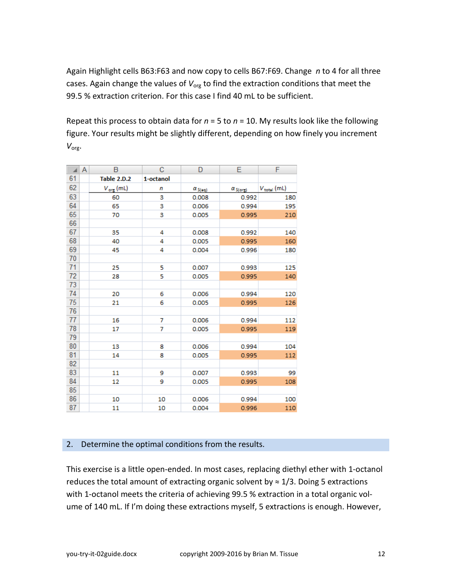Again Highlight cells B63:F63 and now copy to cells B67:F69. Change *n* to 4 for all three cases. Again change the values of V<sub>org</sub> to find the extraction conditions that meet the 99.5 % extraction criterion. For this case I find 40 mL to be sufficient.

Repeat this process to obtain data for *n* = 5 to *n* = 10. My results look like the following figure. Your results might be slightly different, depending on how finely you increment *V*org.

| ᆀ  | Α | В                     | C         | D               | Ε                 | F                |
|----|---|-----------------------|-----------|-----------------|-------------------|------------------|
| 61 |   | <b>Table 2.D.2</b>    | 1-octanol |                 |                   |                  |
| 62 |   | $V_{\text{org}}$ (mL) | n         | $\alpha_{S(m)}$ | $\alpha_{S(org)}$ | $V_{total}$ (mL) |
| 63 |   | 60                    | 3         | 0.008           | 0.992             | 180              |
| 64 |   | 65                    | 3         | 0.006           | 0.994             | 195              |
| 65 |   | 70                    | з         | 0.005           | 0.995             | 210              |
| 66 |   |                       |           |                 |                   |                  |
| 67 |   | 35                    | 4         | 0.008           | 0.992             | 140              |
| 68 |   | 40                    | 4         | 0.005           | 0.995             | 160              |
| 69 |   | 45                    | 4         | 0.004           | 0.996             | 180              |
| 70 |   |                       |           |                 |                   |                  |
| 71 |   | 25                    | 5         | 0.007           | 0.993             | 125              |
| 72 |   | 28                    | 5         | 0.005           | 0.995             | 140              |
| 73 |   |                       |           |                 |                   |                  |
| 74 |   | 20                    | 6         | 0.006           | 0.994             | 120              |
| 75 |   | 21                    | 6         | 0.005           | 0.995             | 126              |
| 76 |   |                       |           |                 |                   |                  |
| 77 |   | 16                    | 7         | 0.006           | 0.994             | 112              |
| 78 |   | 17                    | 7         | 0.005           | 0.995             | 119              |
| 79 |   |                       |           |                 |                   |                  |
| 80 |   | 13                    | 8         | 0.006           | 0.994             | 104              |
| 81 |   | 14                    | 8         | 0.005           | 0.995             | 112              |
| 82 |   |                       |           |                 |                   |                  |
| 83 |   | 11                    | 9         | 0.007           | 0.993             | 99               |
| 84 |   | 12                    | 9         | 0.005           | 0.995             | 108              |
| 85 |   |                       |           |                 |                   |                  |
| 86 |   | 10                    | 10        | 0.006           | 0.994             | 100              |
| 87 |   | 11                    | 10        | 0.004           | 0.996             | 110              |

#### 2. Determine the optimal conditions from the results.

This exercise is a little open-ended. In most cases, replacing diethyl ether with 1-octanol reduces the total amount of extracting organic solvent by  $\approx 1/3$ . Doing 5 extractions with 1-octanol meets the criteria of achieving 99.5 % extraction in a total organic volume of 140 mL. If I'm doing these extractions myself, 5 extractions is enough. However,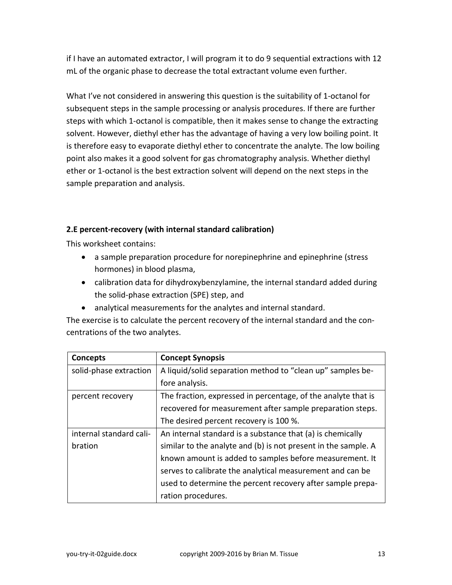if I have an automated extractor, I will program it to do 9 sequential extractions with 12 mL of the organic phase to decrease the total extractant volume even further.

What I've not considered in answering this question is the suitability of 1-octanol for subsequent steps in the sample processing or analysis procedures. If there are further steps with which 1-octanol is compatible, then it makes sense to change the extracting solvent. However, diethyl ether has the advantage of having a very low boiling point. It is therefore easy to evaporate diethyl ether to concentrate the analyte. The low boiling point also makes it a good solvent for gas chromatography analysis. Whether diethyl ether or 1-octanol is the best extraction solvent will depend on the next steps in the sample preparation and analysis.

### <span id="page-12-0"></span>**2.E percent-recovery (with internal standard calibration)**

This worksheet contains:

- a sample preparation procedure for norepinephrine and epinephrine (stress hormones) in blood plasma,
- calibration data for dihydroxybenzylamine, the internal standard added during the solid-phase extraction (SPE) step, and
- analytical measurements for the analytes and internal standard.

The exercise is to calculate the percent recovery of the internal standard and the concentrations of the two analytes.

| <b>Concepts</b>         | <b>Concept Synopsis</b>                                        |
|-------------------------|----------------------------------------------------------------|
| solid-phase extraction  | A liquid/solid separation method to "clean up" samples be-     |
|                         | fore analysis.                                                 |
| percent recovery        | The fraction, expressed in percentage, of the analyte that is  |
|                         | recovered for measurement after sample preparation steps.      |
|                         | The desired percent recovery is 100 %.                         |
| internal standard cali- | An internal standard is a substance that (a) is chemically     |
| bration                 | similar to the analyte and (b) is not present in the sample. A |
|                         | known amount is added to samples before measurement. It        |
|                         | serves to calibrate the analytical measurement and can be      |
|                         | used to determine the percent recovery after sample prepa-     |
|                         | ration procedures.                                             |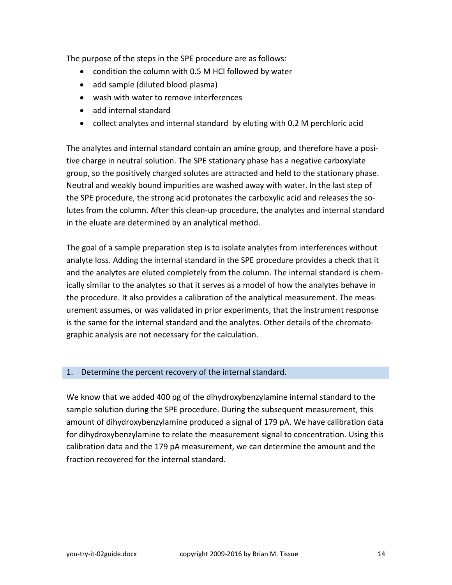The purpose of the steps in the SPE procedure are as follows:

- condition the column with 0.5 M HCl followed by water
- add sample (diluted blood plasma)
- wash with water to remove interferences
- add internal standard
- collect analytes and internal standard by eluting with 0.2 M perchloric acid

The analytes and internal standard contain an amine group, and therefore have a positive charge in neutral solution. The SPE stationary phase has a negative carboxylate group, so the positively charged solutes are attracted and held to the stationary phase. Neutral and weakly bound impurities are washed away with water. In the last step of the SPE procedure, the strong acid protonates the carboxylic acid and releases the solutes from the column. After this clean-up procedure, the analytes and internal standard in the eluate are determined by an analytical method.

The goal of a sample preparation step is to isolate analytes from interferences without analyte loss. Adding the internal standard in the SPE procedure provides a check that it and the analytes are eluted completely from the column. The internal standard is chemically similar to the analytes so that it serves as a model of how the analytes behave in the procedure. It also provides a calibration of the analytical measurement. The measurement assumes, or was validated in prior experiments, that the instrument response is the same for the internal standard and the analytes. Other details of the chromatographic analysis are not necessary for the calculation.

#### 1. Determine the percent recovery of the internal standard.

We know that we added 400 pg of the dihydroxybenzylamine internal standard to the sample solution during the SPE procedure. During the subsequent measurement, this amount of dihydroxybenzylamine produced a signal of 179 pA. We have calibration data for dihydroxybenzylamine to relate the measurement signal to concentration. Using this calibration data and the 179 pA measurement, we can determine the amount and the fraction recovered for the internal standard.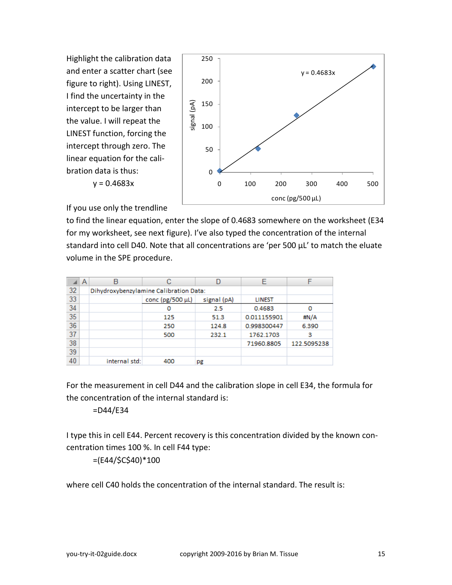Highlight the calibration data and enter a scatter chart (see figure to right). Using LINEST, I find the uncertainty in the intercept to be larger than the value. I will repeat the LINEST function, forcing the intercept through zero. The linear equation for the calibration data is thus:



If you use only the trendline

 $y = 0.4683x$ 

to find the linear equation, enter the slope of 0.4683 somewhere on the worksheet (E34 for my worksheet, see next figure). I've also typed the concentration of the internal standard into cell D40. Note that all concentrations are 'per 500 μL' to match the eluate volume in the SPE procedure.

|    | Α | B             |                                        |             | F             |             |
|----|---|---------------|----------------------------------------|-------------|---------------|-------------|
| 32 |   |               | Dihydroxybenzylamine Calibration Data: |             |               |             |
| 33 |   |               | conc (pg/500 μL)                       | signal (pA) | <b>LINEST</b> |             |
| 34 |   |               | o                                      | 2.5         | 0.4683        | o           |
| 35 |   |               | 125                                    | 51.3        | 0.011155901   | #N/A        |
| 36 |   |               | 250                                    | 124.8       | 0.998300447   | 6.390       |
| 37 |   |               | 500                                    | 232.1       | 1762.1703     | з           |
| 38 |   |               |                                        |             | 71960.8805    | 122.5095238 |
| 39 |   |               |                                        |             |               |             |
| 40 |   | internal std: | 400                                    | pg          |               |             |

For the measurement in cell D44 and the calibration slope in cell E34, the formula for the concentration of the internal standard is:

#### =D44/E34

I type this in cell E44. Percent recovery is this concentration divided by the known concentration times 100 %. In cell F44 type:

=(E44/\$C\$40)\*100

where cell C40 holds the concentration of the internal standard. The result is: